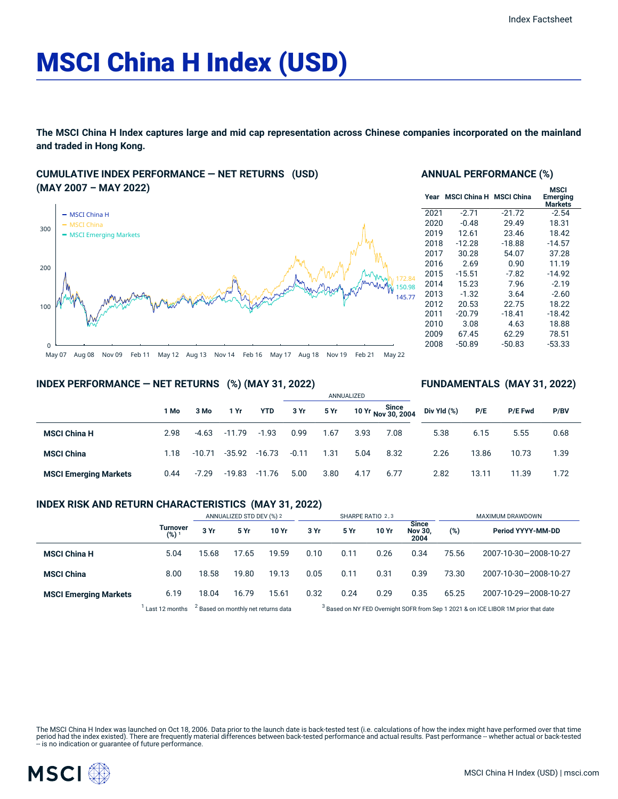# MSCI China H Index (USD)

**The MSCI China H Index captures large and mid cap representation across Chinese companies incorporated on the mainland and traded in Hong Kong.**

## **CUMULATIVE INDEX PERFORMANCE — NET RETURNS (USD) (MAY 2007 – MAY 2022)**



#### **ANNUAL PERFORMANCE (%)**

| Year | <b>MSCI China H</b> | <b>MSCI China</b> | MSCI<br><b>Emerging</b><br><b>Markets</b> |
|------|---------------------|-------------------|-------------------------------------------|
| 2021 | $-2.71$             | $-21.72$          | $-2.54$                                   |
| 2020 | $-0.48$             | 29.49             | 18.31                                     |
| 2019 | 12.61               | 23.46             | 18.42                                     |
| 2018 | $-12.28$            | $-18.88$          | $-14.57$                                  |
| 2017 | 30.28               | 54.07             | 37.28                                     |
| 2016 | 2.69                | 0.90              | 11.19                                     |
| 2015 | $-15.51$            | -7.82             | $-14.92$                                  |
| 2014 | 15.23               | 7.96              | $-2.19$                                   |
| 2013 | $-1.32$             | 3.64              | $-2.60$                                   |
| 2012 | 20.53               | 22.75             | 18.22                                     |
| 2011 | $-20.79$            | $-18.41$          | $-18.42$                                  |
| 2010 | 3.08                | 4.63              | 18.88                                     |
| 2009 | 67.45               | 62.29             | 78.51                                     |
| 2008 | $-50.89$            | $-50.83$          | $-53.33$                                  |
|      |                     |                   |                                           |

**FUNDAMENTALS (MAY 31, 2022)**

## **INDEX PERFORMANCE — NET RETURNS (%) (MAY 31, 2022)**

|                              |      |          |          |            | ANNUALIZED |      |      |                             |             |       |                |      |  |
|------------------------------|------|----------|----------|------------|------------|------|------|-----------------------------|-------------|-------|----------------|------|--|
|                              | 1 Mo | 3 Mo     | 1 Yr     | <b>YTD</b> | 3 Yr       | 5 Yr |      | 10 Yr Since<br>Nov 30, 2004 | Div Yld (%) | P/E   | <b>P/E Fwd</b> | P/BV |  |
| <b>MSCI China H</b>          | 2.98 | -4.63    | $-11.79$ | $-1.93$    | 0.99       | 1.67 | 3.93 | 7.08                        | 5.38        | 6.15  | 5.55           | 0.68 |  |
| <b>MSCI China</b>            | 1.18 | $-10.71$ | $-35.92$ | $-16.73$   | $-0.11$    | 1.31 | 5.04 | 8.32                        | 2.26        | 13.86 | 10.73          | 1.39 |  |
| <b>MSCI Emerging Markets</b> | 0.44 | $-7.29$  | $-19.83$ | -11.76     | 5.00       | 3.80 | 4.17 | 6.77                        | 2.82        | 13.11 | 11.39          | 1.72 |  |

## **INDEX RISK AND RETURN CHARACTERISTICS (MAY 31, 2022)**

|                              |                                                             | ANNUALIZED STD DEV (%) 2 |       |       | SHARPE RATIO 2,3                                                                      |      |       |                                        | MAXIMUM DRAWDOWN |                       |  |
|------------------------------|-------------------------------------------------------------|--------------------------|-------|-------|---------------------------------------------------------------------------------------|------|-------|----------------------------------------|------------------|-----------------------|--|
|                              | Turnover<br>(%) <sup>1</sup>                                | 3 Yr                     | 5 Yr  | 10 Yr | 3 Yr                                                                                  | 5 Yr | 10 Yr | <b>Since</b><br><b>Nov 30,</b><br>2004 | (%)              | Period YYYY-MM-DD     |  |
| <b>MSCI China H</b>          | 5.04                                                        | 15.68                    | 17.65 | 19.59 | 0.10                                                                                  | 0.11 | 0.26  | 0.34                                   | 75.56            | 2007-10-30-2008-10-27 |  |
| <b>MSCI China</b>            | 8.00                                                        | 18.58                    | 19.80 | 19.13 | 0.05                                                                                  | 0.11 | 0.31  | 0.39                                   | 73.30            | 2007-10-30-2008-10-27 |  |
| <b>MSCI Emerging Markets</b> | 6.19                                                        | 18.04                    | 16.79 | 15.61 | 0.32                                                                                  | 0.24 | 0.29  | 0.35                                   | 65.25            | 2007-10-29-2008-10-27 |  |
|                              | $^1$ Lost 12 months $^2$ Decod on monthly not rations data. |                          |       |       | $3$ Besad on NV EED Quantiplet COED from Can 1,0001,8 on JCE LIBOD 1M prior that data |      |       |                                        |                  |                       |  |

Last 12 months  $2^2$  Based on monthly net returns data Based on NY FED Overnight SOFR from Sep 1 2021 & on ICE LIBOR 1M prior that date

The MSCI China H Index was launched on Oct 18, 2006. Data prior to the launch date is back-tested test (i.e. calculations of how the index might have performed over that time<br>period had the index existed). There are freque

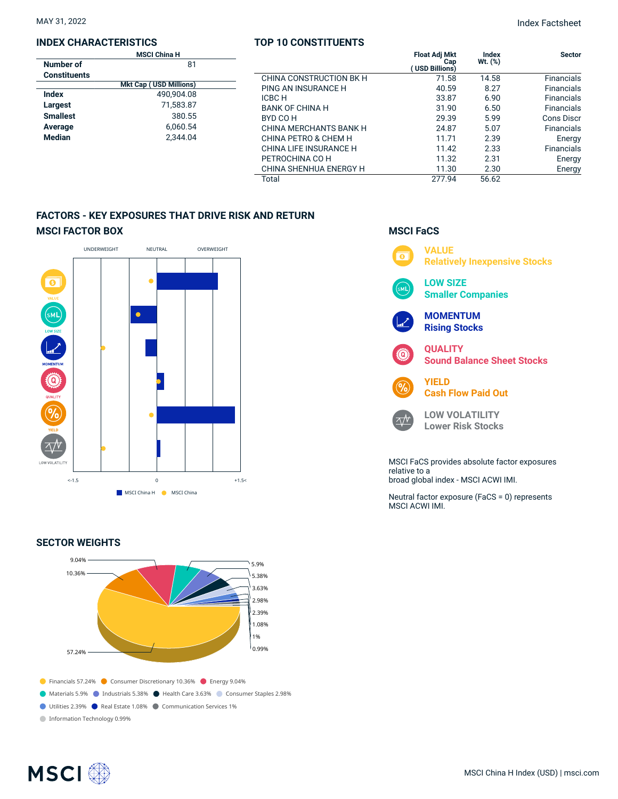## **INDEX CHARACTERISTICS**

|                     | <b>MSCI China H</b>           |  |  |  |  |  |
|---------------------|-------------------------------|--|--|--|--|--|
| Number of           | 81                            |  |  |  |  |  |
| <b>Constituents</b> |                               |  |  |  |  |  |
|                     | <b>Mkt Cap (USD Millions)</b> |  |  |  |  |  |
| Index               | 490.904.08                    |  |  |  |  |  |
| Largest             | 71,583.87                     |  |  |  |  |  |
| <b>Smallest</b>     | 380.55                        |  |  |  |  |  |
| Average             | 6.060.54                      |  |  |  |  |  |
| <b>Median</b>       | 2.344.04                      |  |  |  |  |  |
|                     |                               |  |  |  |  |  |

## **TOP 10 CONSTITUENTS**

| н<br>81  |                         | <b>Float Adj Mkt</b><br>Cap<br>(USD Billions) | Index<br>$Wt.$ $(\%)$ | <b>Sector</b>     |
|----------|-------------------------|-----------------------------------------------|-----------------------|-------------------|
|          | CHINA CONSTRUCTION BK H | 71.58                                         | 14.58                 | <b>Financials</b> |
| illions) | PING AN INSURANCE H     | 40.59                                         | 8.27                  | <b>Financials</b> |
| 04.08    | ICBC H                  | 33.87                                         | 6.90                  | <b>Financials</b> |
| 583.87   | <b>BANK OF CHINA H</b>  | 31.90                                         | 6.50                  | <b>Financials</b> |
| 380.55   | BYD CO H                | 29.39                                         | 5.99                  | Cons Discr        |
| 060.54   | CHINA MERCHANTS BANK H  | 24.87                                         | 5.07                  | <b>Financials</b> |
| 344.04   | CHINA PETRO & CHEM H    | 11.71                                         | 2.39                  | Energy            |
|          | CHINA LIFE INSURANCE H  | 11.42                                         | 2.33                  | <b>Financials</b> |
|          | PETROCHINA CO H         | 11.32                                         | 2.31                  | Energy            |
|          | CHINA SHENHUA ENERGY H  | 11.30                                         | 2.30                  | Energy            |
|          | Total                   | 277.94                                        | 56.62                 |                   |

## **FACTORS - KEY EXPOSURES THAT DRIVE RISK AND RETURN MSCI FACTOR BOX**



## **SECTOR WEIGHTS**



## **MSCI FaCS VALUE**  $\overline{\bullet}$ **Relatively Inexpensive Stocks LOW SIZE Smaller Companies MOMENTUM Rising Stocks QUALITY Sound Balance Sheet Stocks YIELD Cash Flow Paid Out LOW VOLATILITY**  $\Delta N$ **Lower Risk Stocks** MSCI FaCS provides absolute factor exposures relative to a broad global index - MSCI ACWI IMI. Neutral factor exposure (FaCS = 0) represents MSCI ACWI IMI.